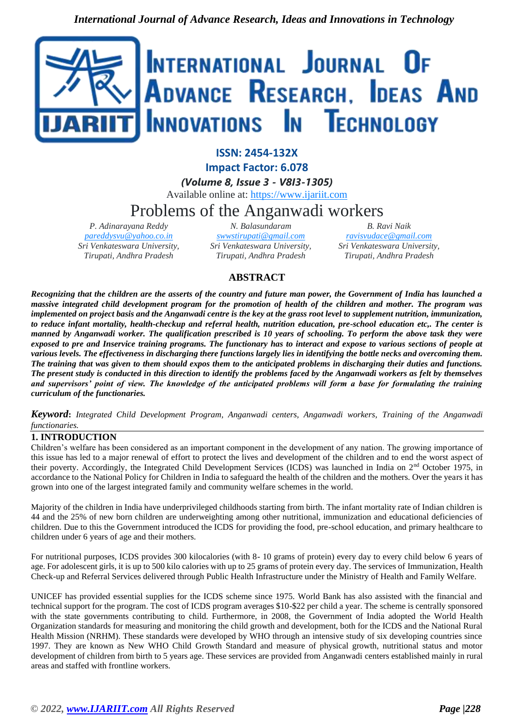

**ISSN: 2454-132X Impact Factor: 6.078**

*(Volume 8, Issue 3 - V8I3-1305)* Available online at: [https://www.ijariit.com](https://www.ijariit.com/?utm_source=pdf&utm_medium=edition&utm_campaign=OmAkSols&utm_term=V8I3-1305)

# Problems of the Anganwadi workers

*P. Adinarayana Reddy [pareddysvu@yahoo.co.in](mailto:pareddysvu@yahoo.co.in) Sri Venkateswara University, Tirupati, Andhra Pradesh*

*N. Balasundaram [swwstirupati@gmail.com](mailto:swwstirupati@gmail.com) Sri Venkateswara University, Tirupati, Andhra Pradesh*

*B. Ravi Naik [ravisvudace@gmail.com](mailto:ravisvudace@gmail.com) Sri Venkateswara University, Tirupati, Andhra Pradesh*

# **ABSTRACT**

*Recognizing that the children are the asserts of the country and future man power, the Government of India has launched a massive integrated child development program for the promotion of health of the children and mother. The program was implemented on project basis and the Anganwadi centre is the key at the grass root level to supplement nutrition, immunization, to reduce infant mortality, health-checkup and referral health, nutrition education, pre-school education etc,. The center is manned by Anganwadi worker. The qualification prescribed is 10 years of schooling. To perform the above task they were exposed to pre and Inservice training programs. The functionary has to interact and expose to various sections of people at various levels. The effectiveness in discharging there functions largely lies in identifying the bottle necks and overcoming them. The training that was given to them should expos them to the anticipated problems in discharging their duties and functions. The present study is conducted in this direction to identify the problems faced by the Anganwadi workers as felt by themselves and supervisors' point of view. The knowledge of the anticipated problems will form a base for formulating the training curriculum of the functionaries.* 

*Keyword***:** *Integrated Child Development Program, Anganwadi centers, Anganwadi workers, Training of the Anganwadi functionaries.*

# **1. INTRODUCTION**

Children's welfare has been considered as an important component in the development of any nation. The growing importance of this issue has led to a major renewal of effort to protect the lives and development of the children and to end the worst aspect of their poverty. Accordingly, the Integrated Child Development Services (ICDS) was launched in India on 2nd October 1975, in accordance to the National Policy for Children in India to safeguard the health of the children and the mothers. Over the years it has grown into one of the largest integrated family and community welfare schemes in the world.

Majority of the children in India have underprivileged childhoods starting from birth. The infant mortality rate of Indian children is 44 and the 25% of new born children are underweighting among other nutritional, immunization and educational deficiencies of children. Due to this the Government introduced the ICDS for providing the food, pre-school education, and primary healthcare to children under 6 years of age and their mothers.

For nutritional purposes, ICDS provides 300 kilocalories (with 8- 10 grams of protein) every day to every child below 6 years of age. For adolescent girls, it is up to 500 kilo calories with up to 25 grams of protein every day. The services of Immunization, Health Check-up and Referral Services delivered through Public Health Infrastructure under the Ministry of Health and Family Welfare.

UNICEF has provided essential supplies for the ICDS scheme since 1975. World Bank has also assisted with the financial and technical support for the program. The cost of ICDS program averages \$10-\$22 per child a year. The scheme is centrally sponsored with the state governments contributing to child. Furthermore, in 2008, the Government of India adopted the World Health Organization standards for measuring and monitoring the child growth and development, both for the ICDS and the National Rural Health Mission (NRHM). These standards were developed by WHO through an intensive study of six developing countries since 1997. They are known as New WHO Child Growth Standard and measure of physical growth, nutritional status and motor development of children from birth to 5 years age. These services are provided from Anganwadi centers established mainly in rural areas and staffed with frontline workers.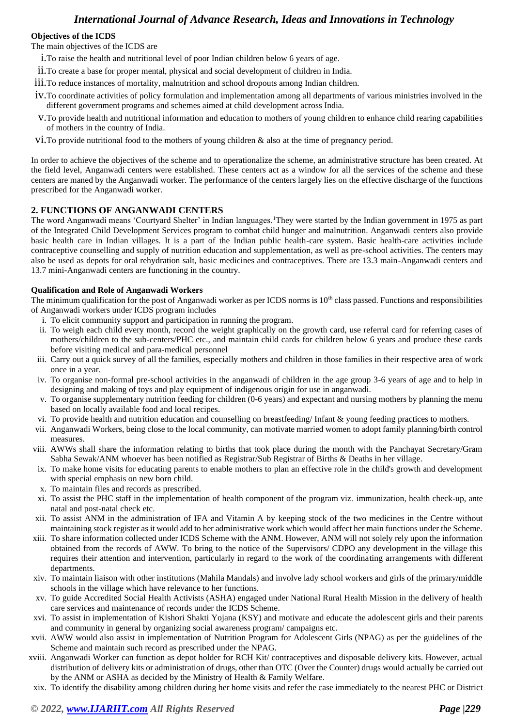### **Objectives of the ICDS**

The main objectives of the ICDS are

- i.To raise the health and nutritional level of poor Indian children below 6 years of age.
- ii.To create a base for proper mental, physical and social development of children in India.
- iii.To reduce instances of mortality, malnutrition and school dropouts among Indian children.
- iv.To coordinate activities of policy formulation and implementation among all departments of various ministries involved in the different government programs and schemes aimed at child development across India.
- v.To provide health and nutritional information and education to mothers of young children to enhance child rearing capabilities of mothers in the country of India.
- vi.To provide nutritional food to the mothers of young children & also at the time of pregnancy period.

In order to achieve the objectives of the scheme and to operationalize the scheme, an administrative structure has been created. At the field level, Anganwadi centers were established. These centers act as a window for all the services of the scheme and these centers are maned by the Anganwadi worker. The performance of the centers largely lies on the effective discharge of the functions prescribed for the Anganwadi worker.

# **2. FUNCTIONS OF ANGANWADI CENTERS**

The word Anganwadi means 'Courtyard Shelter' in Indian languages.<sup>1</sup>They were started by the Indian government in 1975 as part of the Integrated Child Development Services program to combat child hunger and malnutrition. Anganwadi centers also provide basic health care in Indian villages. It is a part of the Indian public health-care system. Basic health-care activities include contraceptive counselling and supply of nutrition education and supplementation, as well as pre-school activities. The centers may also be used as depots for oral rehydration salt, basic medicines and contraceptives. There are 13.3 main-Anganwadi centers and 13.7 mini-Anganwadi centers are functioning in the country.

#### **Qualification and Role of Anganwadi Workers**

The minimum qualification for the post of Anganwadi worker as per ICDS norms is  $10<sup>th</sup>$  class passed. Functions and responsibilities of Anganwadi workers under ICDS program includes

- i. To elicit community support and participation in running the program.
- ii. To weigh each child every month, record the weight graphically on the growth card, use referral card for referring cases of mothers/children to the sub-centers/PHC etc., and maintain child cards for children below 6 years and produce these cards before visiting medical and para-medical personnel
- iii. Carry out a quick survey of all the families, especially mothers and children in those families in their respective area of work once in a year.
- iv. To organise non-formal pre-school activities in the anganwadi of children in the age group 3-6 years of age and to help in designing and making of toys and play equipment of indigenous origin for use in anganwadi.
- v. To organise supplementary nutrition feeding for children (0-6 years) and expectant and nursing mothers by planning the menu based on locally available food and local recipes.
- vi. To provide health and nutrition education and counselling on breastfeeding/ Infant  $\&$  young feeding practices to mothers.
- vii. Anganwadi Workers, being close to the local community, can motivate married women to adopt family planning/birth control measures.
- viii. AWWs shall share the information relating to births that took place during the month with the Panchayat Secretary/Gram Sabha Sewak/ANM whoever has been notified as Registrar/Sub Registrar of Births & Deaths in her village.
- ix. To make home visits for educating parents to enable mothers to plan an effective role in the child's growth and development with special emphasis on new born child.
- x. To maintain files and records as prescribed.
- xi. To assist the PHC staff in the implementation of health component of the program viz. immunization, health check-up, ante natal and post-natal check etc.
- xii. To assist ANM in the administration of IFA and Vitamin A by keeping stock of the two medicines in the Centre without maintaining stock register as it would add to her administrative work which would affect her main functions under the Scheme.
- xiii. To share information collected under ICDS Scheme with the ANM. However, ANM will not solely rely upon the information obtained from the records of AWW. To bring to the notice of the Supervisors/ CDPO any development in the village this requires their attention and intervention, particularly in regard to the work of the coordinating arrangements with different departments.
- xiv. To maintain liaison with other institutions (Mahila Mandals) and involve lady school workers and girls of the primary/middle schools in the village which have relevance to her functions.
- xv. To guide Accredited Social Health Activists (ASHA) engaged under National Rural Health Mission in the delivery of health care services and maintenance of records under the ICDS Scheme.
- xvi. To assist in implementation of Kishori Shakti Yojana (KSY) and motivate and educate the adolescent girls and their parents and community in general by organizing social awareness program/ campaigns etc.
- xvii. AWW would also assist in implementation of Nutrition Program for Adolescent Girls (NPAG) as per the guidelines of the Scheme and maintain such record as prescribed under the NPAG.
- xviii. Anganwadi Worker can function as depot holder for RCH Kit/ contraceptives and disposable delivery kits. However, actual distribution of delivery kits or administration of drugs, other than OTC (Over the Counter) drugs would actually be carried out by the ANM or ASHA as decided by the Ministry of Health & Family Welfare.
- xix. To identify the disability among children during her home visits and refer the case immediately to the nearest PHC or District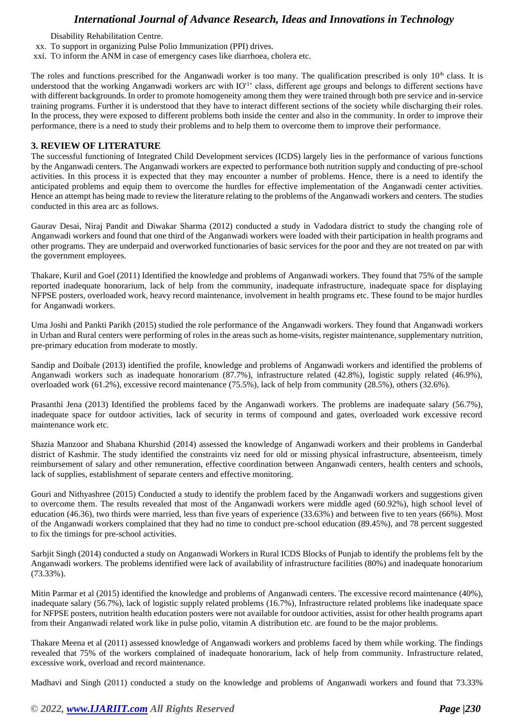Disability Rehabilitation Centre.

- xx. To support in organizing Pulse Polio Immunization (PPI) drives.
- xxi. TO inform the ANM in case of emergency cases like diarrhoea, cholera etc.

The roles and functions prescribed for the Anganwadi worker is too many. The qualification prescribed is only 10<sup>th</sup> class. It is understood that the working Anganwadi workers arc with IO<sup>'1</sup>' class, different age groups and belongs to different sections have with different backgrounds. In order to promote homogeneity among them they were trained through both pre service and in-service training programs. Further it is understood that they have to interact different sections of the society while discharging their roles. In the process, they were exposed to different problems both inside the center and also in the community. In order to improve their performance, there is a need to study their problems and to help them to overcome them to improve their performance.

### **3. REVIEW OF LITERATURE**

The successful functioning of Integrated Child Development services (ICDS) largely lies in the performance of various functions by the Anganwadi centers. The Anganwadi workers are expected to performance both nutrition supply and conducting of pre-school activities. In this process it is expected that they may encounter a number of problems. Hence, there is a need to identify the anticipated problems and equip them to overcome the hurdles for effective implementation of the Anganwadi center activities. Hence an attempt has being made to review the literature relating to the problems of the Anganwadi workers and centers. The studies conducted in this area arc as follows.

Gaurav Desai, Niraj Pandit and Diwakar Sharma (2012) conducted a study in Vadodara district to study the changing role of Anganwadi workers and found that one third of the Anganwadi workers were loaded with their participation in health programs and other programs. They are underpaid and overworked functionaries of basic services for the poor and they are not treated on par with the government employees.

Thakare, Kuril and Goel (2011) Identified the knowledge and problems of Anganwadi workers. They found that 75% of the sample reported inadequate honorarium, lack of help from the community, inadequate infrastructure, inadequate space for displaying NFPSE posters, overloaded work, heavy record maintenance, involvement in health programs etc. These found to be major hurdles for Anganwadi workers.

Uma Joshi and Pankti Parikh (2015) studied the role performance of the Anganwadi workers. They found that Anganwadi workers in Urban and Rural centers were performing of roles in the areas such as home-visits, register maintenance, supplementary nutrition, pre-primary education from moderate to mostly.

Sandip and Doibale (2013) identified the profile, knowledge and problems of Anganwadi workers and identified the problems of Anganwadi workers such as inadequate honorarium (87.7%), infrastructure related (42.8%), logistic supply related (46.9%), overloaded work (61.2%), excessive record maintenance (75.5%), lack of help from community (28.5%), others (32.6%).

Prasanthi Jena (2013) Identified the problems faced by the Anganwadi workers. The problems are inadequate salary (56.7%), inadequate space for outdoor activities, lack of security in terms of compound and gates, overloaded work excessive record maintenance work etc.

Shazia Manzoor and Shabana Khurshid (2014) assessed the knowledge of Anganwadi workers and their problems in Ganderbal district of Kashmir. The study identified the constraints viz need for old or missing physical infrastructure, absenteeism, timely reimbursement of salary and other remuneration, effective coordination between Anganwadi centers, health centers and schools, lack of supplies, establishment of separate centers and effective monitoring.

Gouri and Nithyashree (2015) Conducted a study to identify the problem faced by the Anganwadi workers and suggestions given to overcome them. The results revealed that most of the Anganwadi workers were middle aged (60.92%), high school level of education (46.36), two thirds were married, less than five years of experience (33.63%) and between five to ten years (66%). Most of the Anganwadi workers complained that they had no time to conduct pre-school education (89.45%), and 78 percent suggested to fix the timings for pre-school activities.

Sarbjit Singh (2014) conducted a study on Anganwadi Workers in Rural ICDS Blocks of Punjab to identify the problems felt by the Anganwadi workers. The problems identified were lack of availability of infrastructure facilities (80%) and inadequate honorarium (73.33%).

Mitin Parmar et al (2015) identified the knowledge and problems of Anganwadi centers. The excessive record maintenance (40%), inadequate salary (56.7%), lack of logistic supply related problems (16.7%), Infrastructure related problems like inadequate space for NFPSE posters, nutrition health education posters were not available for outdoor activities, assist for other health programs apart from their Anganwadi related work like in pulse polio, vitamin A distribution etc. are found to be the major problems.

Thakare Meena et al (2011) assessed knowledge of Anganwadi workers and problems faced by them while working. The findings revealed that 75% of the workers complained of inadequate honorarium, lack of help from community. Infrastructure related, excessive work, overload and record maintenance.

Madhavi and Singh (2011) conducted a study on the knowledge and problems of Anganwadi workers and found that 73.33%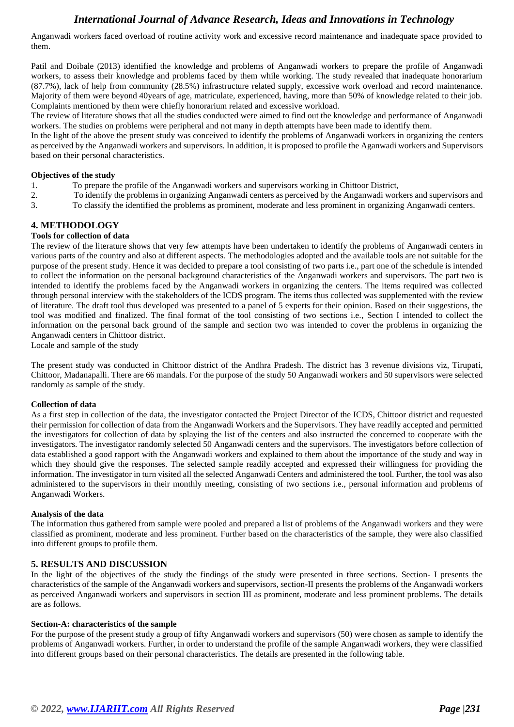Anganwadi workers faced overload of routine activity work and excessive record maintenance and inadequate space provided to them.

Patil and Doibale (2013) identified the knowledge and problems of Anganwadi workers to prepare the profile of Anganwadi workers, to assess their knowledge and problems faced by them while working. The study revealed that inadequate honorarium (87.7%), lack of help from community (28.5%) infrastructure related supply, excessive work overload and record maintenance. Majority of them were beyond 40years of age, matriculate, experienced, having, more than 50% of knowledge related to their job. Complaints mentioned by them were chiefly honorarium related and excessive workload.

The review of literature shows that all the studies conducted were aimed to find out the knowledge and performance of Anganwadi workers. The studies on problems were peripheral and not many in depth attempts have been made to identify them.

In the light of the above the present study was conceived to identify the problems of Anganwadi workers in organizing the centers as perceived by the Anganwadi workers and supervisors. In addition, it is proposed to profile the Aganwadi workers and Supervisors based on their personal characteristics.

#### **Objectives of the study**

- 1. To prepare the profile of the Anganwadi workers and supervisors working in Chittoor District,
- 2. To identify the problems in organizing Anganwadi centers as perceived by the Anganwadi workers and supervisors and
- 3. To classify the identified the problems as prominent, moderate and less prominent in organizing Anganwadi centers.

# **4. METHODOLOGY**

#### **Tools for collection of data**

The review of the literature shows that very few attempts have been undertaken to identify the problems of Anganwadi centers in various parts of the country and also at different aspects. The methodologies adopted and the available tools are not suitable for the purpose of the present study. Hence it was decided to prepare a tool consisting of two parts i.e., part one of the schedule is intended to collect the information on the personal background characteristics of the Anganwadi workers and supervisors. The part two is intended to identify the problems faced by the Anganwadi workers in organizing the centers. The items required was collected through personal interview with the stakeholders of the ICDS program. The items thus collected was supplemented with the review of literature. The draft tool thus developed was presented to a panel of 5 experts for their opinion. Based on their suggestions, the tool was modified and finalized. The final format of the tool consisting of two sections i.e., Section I intended to collect the information on the personal back ground of the sample and section two was intended to cover the problems in organizing the Anganwadi centers in Chittoor district.

Locale and sample of the study

The present study was conducted in Chittoor district of the Andhra Pradesh. The district has 3 revenue divisions viz, Tirupati, Chittoor, Madanapalli. There are 66 mandals. For the purpose of the study 50 Anganwadi workers and 50 supervisors were selected randomly as sample of the study.

#### **Collection of data**

As a first step in collection of the data, the investigator contacted the Project Director of the ICDS, Chittoor district and requested their permission for collection of data from the Anganwadi Workers and the Supervisors. They have readily accepted and permitted the investigators for collection of data by splaying the list of the centers and also instructed the concerned to cooperate with the investigators. The investigator randomly selected 50 Anganwadi centers and the supervisors. The investigators before collection of data established a good rapport with the Anganwadi workers and explained to them about the importance of the study and way in which they should give the responses. The selected sample readily accepted and expressed their willingness for providing the information. The investigator in turn visited all the selected Anganwadi Centers and administered the tool. Further, the tool was also administered to the supervisors in their monthly meeting, consisting of two sections i.e., personal information and problems of Anganwadi Workers.

#### **Analysis of the data**

The information thus gathered from sample were pooled and prepared a list of problems of the Anganwadi workers and they were classified as prominent, moderate and less prominent. Further based on the characteristics of the sample, they were also classified into different groups to profile them.

#### **5. RESULTS AND DISCUSSION**

In the light of the objectives of the study the findings of the study were presented in three sections. Section- I presents the characteristics of the sample of the Anganwadi workers and supervisors, section-II presents the problems of the Anganwadi workers as perceived Anganwadi workers and supervisors in section III as prominent, moderate and less prominent problems. The details are as follows.

#### **Section-A: characteristics of the sample**

For the purpose of the present study a group of fifty Anganwadi workers and supervisors (50) were chosen as sample to identify the problems of Anganwadi workers. Further, in order to understand the profile of the sample Anganwadi workers, they were classified into different groups based on their personal characteristics. The details are presented in the following table.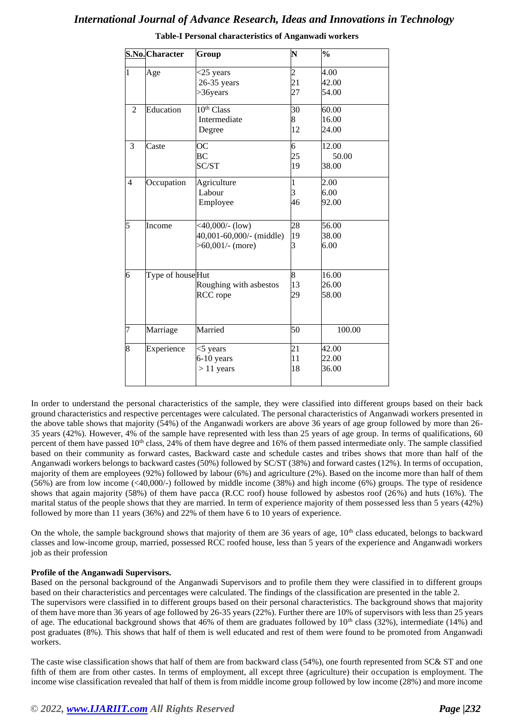|                | S.No. Character  | Group                                                               | N              | $\frac{0}{0}$           |
|----------------|------------------|---------------------------------------------------------------------|----------------|-------------------------|
| $\mathbf{1}$   | Age              | $<$ 25 years<br>26-35 years<br>>36years                             | 2<br>21<br>27  | 4.00<br>42.00<br>54.00  |
| $\overline{2}$ | Education        | 10 <sup>th</sup> Class<br>Intermediate<br>Degree                    | 30<br>8<br>12  | 60.00<br>16.00<br>24.00 |
| 3              | Caste            | <b>OC</b><br><b>BC</b><br>SC/ST                                     | 6<br>25<br>19  | 12.00<br>50.00<br>38.00 |
| $\overline{4}$ | Occupation       | Agriculture<br>Labour<br>Employee                                   | 1<br>3<br>46   | 2.00<br>6.00<br>92.00   |
| 5              | Income           | $<40,000/-(low)$<br>40,001-60,000/- (middle)<br>$>60,001/$ - (more) | 28<br>19<br>3  | 56.00<br>38.00<br>6.00  |
| $\overline{6}$ | Type of houseHut | Roughing with asbestos<br>RCC rope                                  | 8<br>13<br>29  | 16.00<br>26.00<br>58.00 |
| 7              | Marriage         | Married                                                             | 50             | 100.00                  |
| 8              | Experience       | $<$ 5 years<br>6-10 years<br>$> 11$ years                           | 21<br>11<br>18 | 42.00<br>22.00<br>36.00 |

**Table-I Personal characteristics of Anganwadi workers**

In order to understand the personal characteristics of the sample, they were classified into different groups based on their back ground characteristics and respective percentages were calculated. The personal characteristics of Anganwadi workers presented in the above table shows that majority (54%) of the Anganwadi workers are above 36 years of age group followed by more than 26- 35 years (42%). However, 4% of the sample have represented with less than 25 years of age group. In terms of qualifications, 60 percent of them have passed 10<sup>th</sup> class, 24% of them have degree and 16% of them passed intermediate only. The sample classified based on their community as forward castes, Backward caste and schedule castes and tribes shows that more than half of the Anganwadi workers belongs to backward castes (50%) followed by SC/ST (38%) and forward castes (12%). In terms of occupation, majority of them are employees (92%) followed by labour (6%) and agriculture (2%). Based on the income more than half of them (56%) are from low income (<40,000/-) followed by middle income (38%) and high income (6%) groups. The type of residence shows that again majority (58%) of them have pacca (R.CC roof) house followed by asbestos roof (26%) and huts (16%). The marital status of the people shows that they are married. In term of experience majority of them possessed less than 5 years (42%) followed by more than 11 years (36%) and 22% of them have 6 to 10 years of experience.

On the whole, the sample background shows that majority of them are 36 years of age,  $10<sup>th</sup>$  class educated, belongs to backward classes and low-income group, married, possessed RCC roofed house, less than 5 years of the experience and Anganwadi workers job as their profession

### **Profile of the Anganwadi Supervisors.**

Based on the personal background of the Anganwadi Supervisors and to profile them they were classified in to different groups based on their characteristics and percentages were calculated. The findings of the classification are presented in the table 2. The supervisors were classified in to different groups based on their personal characteristics. The background shows that majority of them have more than 36 years of age followed by 26-35 years (22%). Further there are 10% of supervisors with less than 25 years of age. The educational background shows that 46% of them are graduates followed by  $10<sup>th</sup>$  class (32%), intermediate (14%) and post graduates (8%). This shows that half of them is well educated and rest of them were found to be promoted from Anganwadi workers.

The caste wise classification shows that half of them are from backward class (54%), one fourth represented from SC& ST and one fifth of them are from other castes. In terms of employment, all except three (agriculture) their occupation is employment. The income wise classification revealed that half of them is from middle income group followed by low income (28%) and more income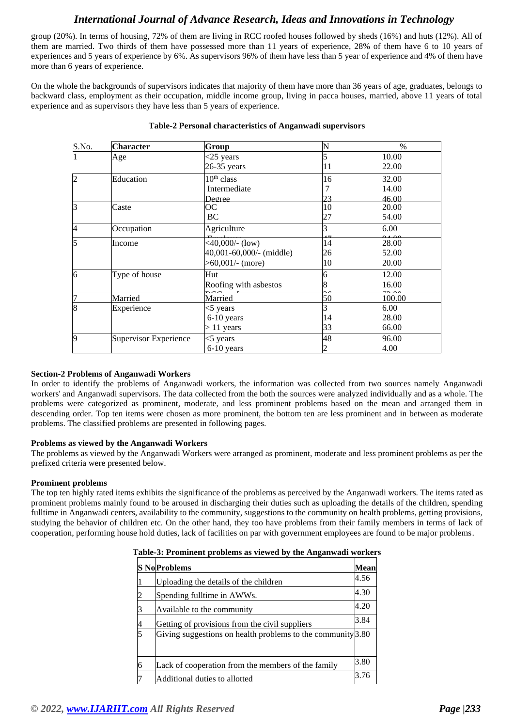group (20%). In terms of housing, 72% of them are living in RCC roofed houses followed by sheds (16%) and huts (12%). All of them are married. Two thirds of them have possessed more than 11 years of experience, 28% of them have 6 to 10 years of experiences and 5 years of experience by 6%. As supervisors 96% of them have less than 5 year of experience and 4% of them have more than 6 years of experience.

On the whole the backgrounds of supervisors indicates that majority of them have more than 36 years of age, graduates, belongs to backward class, employment as their occupation, middle income group, living in pacca houses, married, above 11 years of total experience and as supervisors they have less than 5 years of experience.

| S.No.          | <b>Character</b>      | Group                    |    | $\%$   |
|----------------|-----------------------|--------------------------|----|--------|
|                | Age                   | $<$ 25 years             |    | 10.00  |
|                |                       | 26-35 years              | 11 | 22.00  |
| $\overline{2}$ | Education             | $10th$ class             | 16 | 32.00  |
|                |                       | Intermediate             |    | 14.00  |
|                |                       | Degree.                  | つつ | 46.00  |
| $\overline{3}$ | Caste                 | OС                       | 10 | 20.00  |
|                |                       | BC                       | 27 | 54.00  |
| $\overline{4}$ | Occupation            | Agriculture              |    | 6.00   |
| 5              | Income                | $\sqrt{40,000}$ (low)    | 14 | 28.00  |
|                |                       | 40,001-60,000/- (middle) | 26 | 52.00  |
|                |                       | $>60,001/$ - (more)      | 10 | 20.00  |
| 6              | Type of house         | Hut                      | h  | 12.00  |
|                |                       | Roofing with asbestos    |    | 16.00  |
| $\overline{7}$ | Married               | Married                  | 50 | 100.00 |
| $\overline{8}$ | Experience            | $<$ 5 years              |    | 6.00   |
|                |                       | 6-10 years               | 14 | 28.00  |
|                |                       | $> 11$ years             | 33 | 66.00  |
| 9              | Supervisor Experience | $<$ 5 years              | 48 | 96.00  |
|                |                       | $6-10$ years             |    | 4.00   |

#### **Table-2 Personal characteristics of Anganwadi supervisors**

### **Section-2 Problems of Anganwadi Workers**

In order to identify the problems of Anganwadi workers, the information was collected from two sources namely Anganwadi workers' and Anganwadi supervisors. The data collected from the both the sources were analyzed individually and as a whole. The problems were categorized as prominent, moderate, and less prominent problems based on the mean and arranged them in descending order. Top ten items were chosen as more prominent, the bottom ten are less prominent and in between as moderate problems. The classified problems are presented in following pages.

#### **Problems as viewed by the Anganwadi Workers**

The problems as viewed by the Anganwadi Workers were arranged as prominent, moderate and less prominent problems as per the prefixed criteria were presented below.

#### **Prominent problems**

The top ten highly rated items exhibits the significance of the problems as perceived by the Anganwadi workers. The items rated as prominent problems mainly found to be aroused in discharging their duties such as uploading the details of the children, spending fulltime in Anganwadi centers, availability to the community, suggestions to the community on health problems, getting provisions, studying the behavior of children etc. On the other hand, they too have problems from their family members in terms of lack of cooperation, performing house hold duties, lack of facilities on par with government employees are found to be major problems.

| Table-3: Prominent problems as viewed by the Anganwadi workers |  |
|----------------------------------------------------------------|--|
|----------------------------------------------------------------|--|

| raone of recomment problems as viewed by the fingulation worker |                                                             |      |
|-----------------------------------------------------------------|-------------------------------------------------------------|------|
|                                                                 | <b>S</b> NoProblems                                         | Mean |
|                                                                 | Uploading the details of the children                       | 4.56 |
|                                                                 | Spending fulltime in AWWs.                                  | 4.30 |
|                                                                 | Available to the community                                  | 4.20 |
|                                                                 | Getting of provisions from the civil suppliers              | 3.84 |
| 5                                                               | Giving suggestions on health problems to the community 3.80 |      |
| 6                                                               | Lack of cooperation from the members of the family          | 3.80 |
| 17                                                              | Additional duties to allotted                               | 3.76 |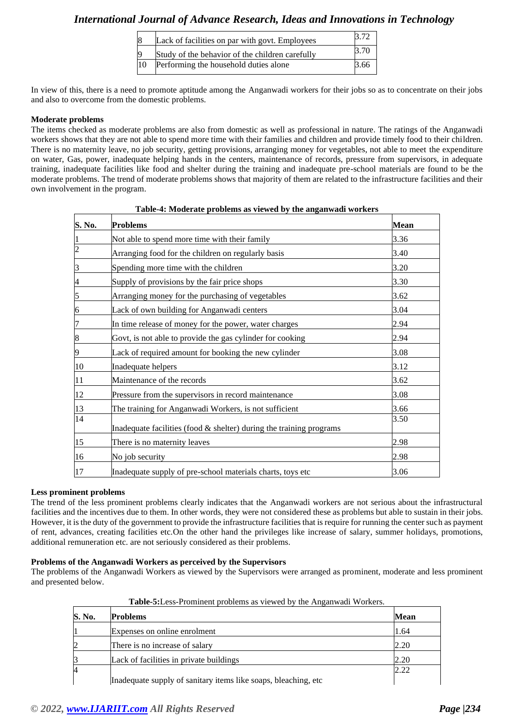|              | Lack of facilities on par with govt. Employees  |             |
|--------------|-------------------------------------------------|-------------|
|              | Study of the behavior of the children carefully | <b>3.70</b> |
| $ 10\rangle$ | Performing the household duties alone           | 3.66        |

In view of this, there is a need to promote aptitude among the Anganwadi workers for their jobs so as to concentrate on their jobs and also to overcome from the domestic problems.

#### **Moderate problems**

The items checked as moderate problems are also from domestic as well as professional in nature. The ratings of the Anganwadi workers shows that they are not able to spend more time with their families and children and provide timely food to their children. There is no maternity leave, no job security, getting provisions, arranging money for vegetables, not able to meet the expenditure on water, Gas, power, inadequate helping hands in the centers, maintenance of records, pressure from supervisors, in adequate training, inadequate facilities like food and shelter during the training and inadequate pre-school materials are found to be the moderate problems. The trend of moderate problems shows that majority of them are related to the infrastructure facilities and their own involvement in the program.

| S. No.           | <b>Problems</b>                                                        | Mean |
|------------------|------------------------------------------------------------------------|------|
|                  | Not able to spend more time with their family                          | 3.36 |
| $\overline{2}$   | Arranging food for the children on regularly basis                     | 3.40 |
| 3                | Spending more time with the children                                   | 3.20 |
| 4                | Supply of provisions by the fair price shops                           | 3.30 |
| 5                | Arranging money for the purchasing of vegetables                       | 3.62 |
| 6                | Lack of own building for Anganwadi centers                             | 3.04 |
| 17               | In time release of money for the power, water charges                  | 2.94 |
| $\boldsymbol{8}$ | Govt, is not able to provide the gas cylinder for cooking              | 2.94 |
| 9                | Lack of required amount for booking the new cylinder                   | 3.08 |
| 10               | Inadequate helpers                                                     | 3.12 |
| 11               | Maintenance of the records                                             | 3.62 |
| 12               | Pressure from the supervisors in record maintenance                    | 3.08 |
| 13               | The training for Anganwadi Workers, is not sufficient                  | 3.66 |
| 14               | Inadequate facilities (food $\&$ shelter) during the training programs | 3.50 |
| 15               | There is no maternity leaves                                           | 2.98 |
| 16               | No job security                                                        | 2.98 |
| 17               | Inadequate supply of pre-school materials charts, toys etc             | 3.06 |

# **Table-4: Moderate problems as viewed by the anganwadi workers**

#### **Less prominent problems**

The trend of the less prominent problems clearly indicates that the Anganwadi workers are not serious about the infrastructural facilities and the incentives due to them. In other words, they were not considered these as problems but able to sustain in their jobs. However, it is the duty of the government to provide the infrastructure facilities that is require for running the center such as payment of rent, advances, creating facilities etc.On the other hand the privileges like increase of salary, summer holidays, promotions, additional remuneration etc. are not seriously considered as their problems.

#### **Problems of the Anganwadi Workers as perceived by the Supervisors**

The problems of the Anganwadi Workers as viewed by the Supervisors were arranged as prominent, moderate and less prominent and presented below.

| S. No. | <b>Problems</b>                                                | <b>Mean</b> |
|--------|----------------------------------------------------------------|-------------|
|        | Expenses on online enrolment                                   | 1.64        |
|        | There is no increase of salary                                 | 2.20        |
|        | Lack of facilities in private buildings                        | 2.20        |
| 4      |                                                                | 2.22        |
|        | Inadequate supply of sanitary items like soaps, bleaching, etc |             |

**Table-5:**Less-Prominent problems as viewed by the Anganwadi Workers.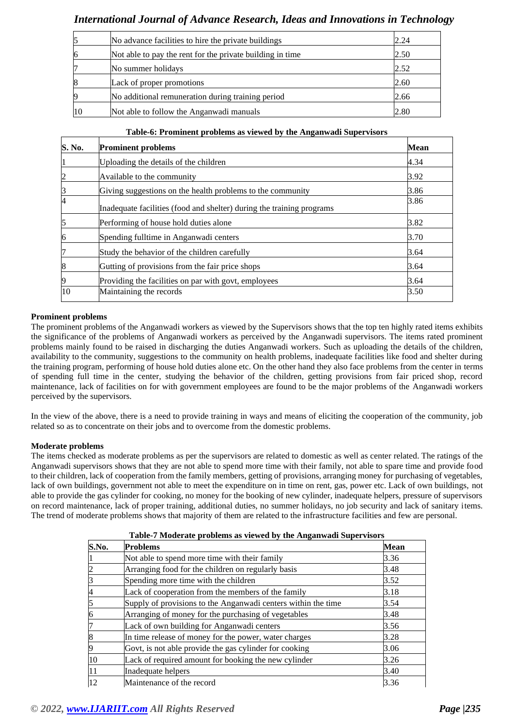|    | No advance facilities to hire the private buildings       | 2.24 |
|----|-----------------------------------------------------------|------|
| 16 | Not able to pay the rent for the private building in time | 2.50 |
|    | No summer holidays                                        | 2.52 |
| 18 | Lack of proper promotions                                 | 2.60 |
|    | No additional remuneration during training period         | 2.66 |
|    | Not able to follow the Anganwadi manuals                  | 2.80 |

# **Table-6: Prominent problems as viewed by the Anganwadi Supervisors**

| S. No.         | <b>Prominent problems</b>                                             | <b>Mean</b> |
|----------------|-----------------------------------------------------------------------|-------------|
| $\mathbf{1}$   | Uploading the details of the children                                 | 4.34        |
| $\overline{c}$ | Available to the community                                            | 3.92        |
| 3              | Giving suggestions on the health problems to the community            | 3.86        |
| $\overline{4}$ | Inadequate facilities (food and shelter) during the training programs | 3.86        |
| 5              | Performing of house hold duties alone                                 | 3.82        |
| 6              | Spending fulltime in Anganwadi centers                                | 3.70        |
| 7              | Study the behavior of the children carefully                          | 3.64        |
| 8              | Gutting of provisions from the fair price shops                       | 3.64        |
| 9              | Providing the facilities on par with govt, employees                  | 3.64        |
| 10             | Maintaining the records                                               | 3.50        |

### **Prominent problems**

The prominent problems of the Anganwadi workers as viewed by the Supervisors shows that the top ten highly rated items exhibits the significance of the problems of Anganwadi workers as perceived by the Anganwadi supervisors. The items rated prominent problems mainly found to be raised in discharging the duties Anganwadi workers. Such as uploading the details of the children, availability to the community, suggestions to the community on health problems, inadequate facilities like food and shelter during the training program, performing of house hold duties alone etc. On the other hand they also face problems from the center in terms of spending full time in the center, studying the behavior of the children, getting provisions from fair priced shop, record maintenance, lack of facilities on for with government employees are found to be the major problems of the Anganwadi workers perceived by the supervisors.

In the view of the above, there is a need to provide training in ways and means of eliciting the cooperation of the community, job related so as to concentrate on their jobs and to overcome from the domestic problems.

### **Moderate problems**

The items checked as moderate problems as per the supervisors are related to domestic as well as center related. The ratings of the Anganwadi supervisors shows that they are not able to spend more time with their family, not able to spare time and provide food to their children, lack of cooperation from the family members, getting of provisions, arranging money for purchasing of vegetables, lack of own buildings, government not able to meet the expenditure on in time on rent, gas, power etc. Lack of own buildings, not able to provide the gas cylinder for cooking, no money for the booking of new cylinder, inadequate helpers, pressure of supervisors on record maintenance, lack of proper training, additional duties, no summer holidays, no job security and lack of sanitary items. The trend of moderate problems shows that majority of them are related to the infrastructure facilities and few are personal.

| S.No. | <b>Problems</b>                                               | Mean |
|-------|---------------------------------------------------------------|------|
|       | Not able to spend more time with their family                 | 3.36 |
|       | Arranging food for the children on regularly basis            | 3.48 |
|       | Spending more time with the children                          | 3.52 |
| 4     | Lack of cooperation from the members of the family            | 3.18 |
| 5     | Supply of provisions to the Anganwadi centers within the time | 3.54 |
| 6     | Arranging of money for the purchasing of vegetables           | 3.48 |
|       | Lack of own building for Anganwadi centers                    | 3.56 |
| 8     | In time release of money for the power, water charges         | 3.28 |
|       | Govt, is not able provide the gas cylinder for cooking        | 3.06 |
| 10    | Lack of required amount for booking the new cylinder          | 3.26 |
| 11    | Inadequate helpers                                            | 3.40 |
| 12    | Maintenance of the record                                     | 3.36 |

**Table-7 Moderate problems as viewed by the Anganwadi Supervisors**